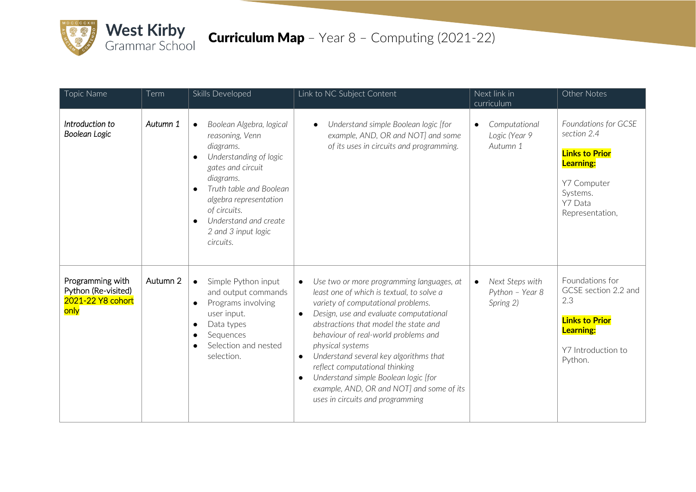

| Topic Name                                                           | Term     | Skills Developed                                                                                                                                                                                                                                                                                           | Link to NC Subject Content                                                                                                                                                                                                                                                                                                                                                                                                                                                                                                           | Next link in<br>curriculum                                   | Other Notes                                                                                                                               |
|----------------------------------------------------------------------|----------|------------------------------------------------------------------------------------------------------------------------------------------------------------------------------------------------------------------------------------------------------------------------------------------------------------|--------------------------------------------------------------------------------------------------------------------------------------------------------------------------------------------------------------------------------------------------------------------------------------------------------------------------------------------------------------------------------------------------------------------------------------------------------------------------------------------------------------------------------------|--------------------------------------------------------------|-------------------------------------------------------------------------------------------------------------------------------------------|
| Introduction to<br>Boolean Logic                                     | Autumn 1 | Boolean Algebra, logical<br>$\bullet$<br>reasoning, Venn<br>diagrams.<br>Understanding of logic<br>$\bullet$<br>gates and circuit<br>diagrams.<br>Truth table and Boolean<br>$\bullet$<br>algebra representation<br>of circuits.<br>Understand and create<br>$\bullet$<br>2 and 3 input logic<br>circuits. | Understand simple Boolean logic [for<br>example, AND, OR and NOT] and some<br>of its uses in circuits and programming.                                                                                                                                                                                                                                                                                                                                                                                                               | Computational<br>$\bullet$<br>Logic (Year 9<br>Autumn 1      | Foundations for GCSE<br>section 2.4<br><b>Links to Prior</b><br><b>Learning:</b><br>Y7 Computer<br>Systems.<br>Y7 Data<br>Representation, |
| Programming with<br>Python (Re-visited)<br>2021-22 Y8 cohort<br>only | Autumn 2 | Simple Python input<br>$\bullet$<br>and output commands<br>Programs involving<br>$\bullet$<br>user input.<br>Data types<br>$\bullet$<br>Sequences<br>$\bullet$<br>Selection and nested<br>$\bullet$<br>selection.                                                                                          | Use two or more programming languages, at<br>$\bullet$<br>least one of which is textual, to solve a<br>variety of computational problems.<br>Design, use and evaluate computational<br>$\bullet$<br>abstractions that model the state and<br>behaviour of real-world problems and<br>physical systems<br>Understand several key algorithms that<br>$\bullet$<br>reflect computational thinking<br>Understand simple Boolean logic [for<br>$\bullet$<br>example, AND, OR and NOT] and some of its<br>uses in circuits and programming | Next Steps with<br>$\bullet$<br>Python - Year 8<br>Spring 2) | Foundations for<br>GCSE section 2.2 and<br>2.3<br><b>Links to Prior</b><br><b>Learning:</b><br>Y7 Introduction to<br>Python.              |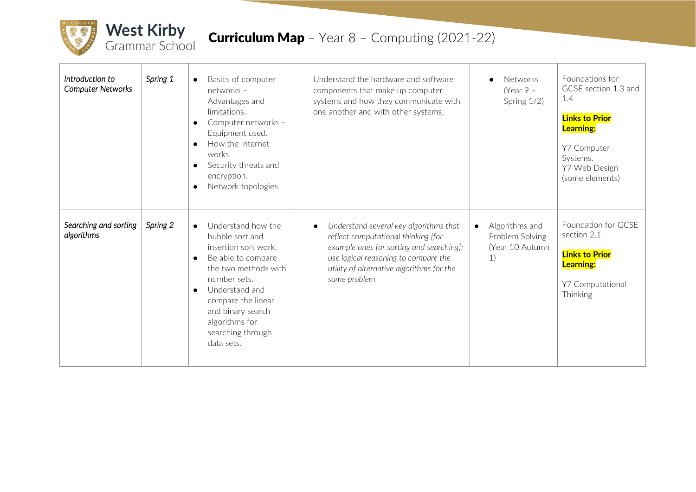

| Introduction to<br>Computer Networks | Spring 1 | Basics of computer<br>networks -<br>Advantages and<br>limitations.<br>Computer networks -<br>$\bullet$<br>Equipment used.<br>How the Internet<br>$\bullet$<br>works.<br>Security threats and<br>encryption.<br>Network topologies                                                    | Understand the hardware and software<br>components that make up computer<br>systems and how they communicate with<br>one another and with other systems.                                                                                     | <b>Networks</b><br>(Year $9 -$<br>Spring 1/2)                           | Foundations for<br>GCSE section 1.3 and<br>1.4<br><b>Links to Prior</b><br><b>Learning:</b><br>Y7 Computer<br>Systems.<br>Y7 Web Design<br>(some elements) |
|--------------------------------------|----------|--------------------------------------------------------------------------------------------------------------------------------------------------------------------------------------------------------------------------------------------------------------------------------------|----------------------------------------------------------------------------------------------------------------------------------------------------------------------------------------------------------------------------------------------|-------------------------------------------------------------------------|------------------------------------------------------------------------------------------------------------------------------------------------------------|
| Searching and sorting<br>algorithms  | Spring 2 | Understand how the<br>$\bullet$<br>bubble sort and<br>insertion sort work.<br>Be able to compare<br>$\bullet$<br>the two methods with<br>number sets.<br>Understand and<br>$\bullet$<br>compare the linear<br>and binary search<br>algorithms for<br>searching through<br>data sets. | Understand several key algorithms that<br>$\bullet$<br>reflect computational thinking [for<br>example ones for sorting and searching];<br>use logical reasoning to compare the<br>utility of alternative algorithms for the<br>same problem. | Algorithms and<br>$\bullet$<br>Problem Solving<br>(Year 10 Autumn<br>1) | Foundation for GCSE<br>section 2.1<br><b>Links to Prior</b><br><b>Learning:</b><br>Y7 Computational<br>Thinking                                            |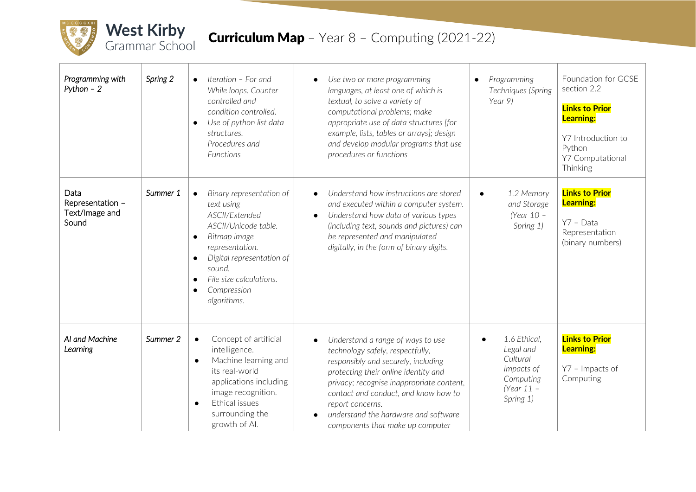

| Programming with<br>Python $-2$                     | Spring 2 | Iteration - For and<br>$\bullet$<br>While loops. Counter<br>controlled and<br>condition controlled.<br>Use of python list data<br>$\bullet$<br>structures.<br>Procedures and<br>Functions                                                                                            | Use two or more programming<br>$\bullet$<br>languages, at least one of which is<br>textual, to solve a variety of<br>computational problems; make<br>appropriate use of data structures [for<br>example, lists, tables or arrays]; design<br>and develop modular programs that use<br>procedures or functions                                                       | Programming<br>$\bullet$<br>Techniques (Spring<br>Year 9)                                     | Foundation for GCSE<br>section 2.2<br><b>Links to Prior</b><br><b>Learning:</b><br>Y7 Introduction to<br>Python<br>Y7 Computational<br>Thinking |
|-----------------------------------------------------|----------|--------------------------------------------------------------------------------------------------------------------------------------------------------------------------------------------------------------------------------------------------------------------------------------|---------------------------------------------------------------------------------------------------------------------------------------------------------------------------------------------------------------------------------------------------------------------------------------------------------------------------------------------------------------------|-----------------------------------------------------------------------------------------------|-------------------------------------------------------------------------------------------------------------------------------------------------|
| Data<br>Representation -<br>Text/Image and<br>Sound | Summer 1 | Binary representation of<br>$\bullet$<br>text using<br>ASCII/Extended<br>ASCII/Unicode table.<br>Bitmap image<br>$\bullet$<br>representation.<br>Digital representation of<br>$\bullet$<br>sound.<br>File size calculations.<br>$\bullet$<br>Compression<br>$\bullet$<br>algorithms. | Understand how instructions are stored<br>$\bullet$<br>and executed within a computer system.<br>Understand how data of various types<br>$\bullet$<br>(including text, sounds and pictures) can<br>be represented and manipulated<br>digitally, in the form of binary digits.                                                                                       | 1.2 Memory<br>and Storage<br>(Year 10 -<br>Spring 1)                                          | <b>Links to Prior</b><br><b>Learning:</b><br>$Y7 - Data$<br>Representation<br>(binary numbers)                                                  |
| AI and Machine<br>Learning                          | Summer 2 | Concept of artificial<br>$\bullet$<br>intelligence.<br>Machine learning and<br>$\bullet$<br>its real-world<br>applications including<br>image recognition.<br>Ethical issues<br>$\bullet$<br>surrounding the<br>growth of Al.                                                        | Understand a range of ways to use<br>$\bullet$<br>technology safely, respectfully,<br>responsibly and securely, including<br>protecting their online identity and<br>privacy; recognise inappropriate content,<br>contact and conduct, and know how to<br>report concerns.<br>understand the hardware and software<br>$\bullet$<br>components that make up computer | 1.6 Ethical,<br>Legal and<br>Cultural<br>Impacts of<br>Computing<br>(Year $11 -$<br>Spring 1) | <b>Links to Prior</b><br><b>Learning:</b><br>Y7 - Impacts of<br>Computing                                                                       |